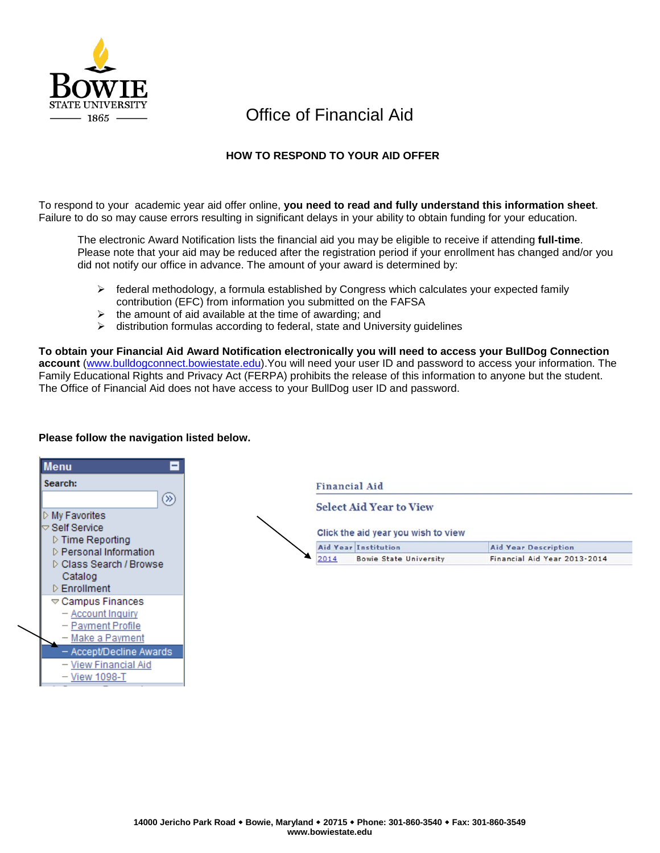

# Office of Financial Aid

# **HOW TO RESPOND TO YOUR AID OFFER**

To respond to your academic year aid offer online, **you need to read and fully understand this information sheet**. Failure to do so may cause errors resulting in significant delays in your ability to obtain funding for your education.

The electronic Award Notification lists the financial aid you may be eligible to receive if attending **full-time**. Please note that your aid may be reduced after the registration period if your enrollment has changed and/or you did not notify our office in advance. The amount of your award is determined by:

- $\triangleright$  federal methodology, a formula established by Congress which calculates your expected family contribution (EFC) from information you submitted on the FAFSA
- $\triangleright$  the amount of aid available at the time of awarding; and
- $\triangleright$  distribution formulas according to federal, state and University guidelines

**To obtain your Financial Aid Award Notification electronically you will need to access your BullDog Connection account** [\(www.bulldogconnect.bowiestate.edu\)](http://www.bulldogconnect.bowiestate.edu/).You will need your user ID and password to access your information. The Family Educational Rights and Privacy Act (FERPA) prohibits the release of this information to anyone but the student. The Office of Financial Aid does not have access to your BullDog user ID and password.

#### **Menu** Search: **Financial Aid** ඹ **Select Aid Year to View**  $\triangleright$  My Favorites  $\small{\bigtriangledown}$  Self Service Click the aid year you wish to view ▷ Time Reporting Aid Year Institution **Aid Year Description** D Personal Information 2014 **Bowie State University** Financial Aid Year 2013-2014 D Class Search / Browse Catalog  $\triangleright$  Enrollment  $\triangledown$  Campus Finances - Account Inquiry - Payment Profile - Make a Payment - Accept/Decline Awards - View Financial Aid - View 1098-T

# **Please follow the navigation listed below.**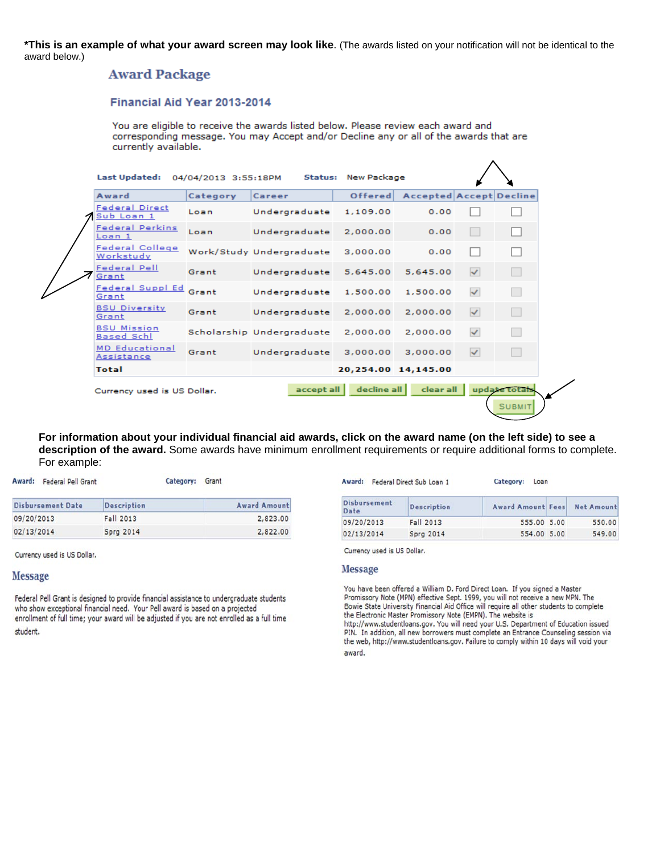\*This is an example of what your award screen may look like. (The awards listed on your notification will not be identical to the award below.)

# **Award Package**

### Financial Aid Year 2013-2014

You are eligible to receive the awards listed below. Please review each award and corresponding message. You may Accept and/or Decline any or all of the awards that are currently available.

| Award                                   | Category | Career                    | Offered  | Accepted Accept Decline |              |  |
|-----------------------------------------|----------|---------------------------|----------|-------------------------|--------------|--|
| <b>Federal Direct</b><br>Sub Loan 1     | Loan     | Undergraduate             | 1,109.00 | 0.00                    |              |  |
| <b>Federal Perkins</b><br>Loan 1        | Loan     | Undergraduate             | 2,000.00 | 0.00                    |              |  |
| <b>Federal College</b><br>Workstudy     |          | Work/Study Undergraduate  | 3,000.00 | 0.00                    |              |  |
| <b>Federal Pell</b><br>Grant            | Grant    | Undergraduate             | 5,645.00 | 5,645.00                | $\checkmark$ |  |
| Federal Suppl Ed<br>Grant               | Grant    | Undergraduate             | 1,500.00 | 1,500.00                | $\checkmark$ |  |
| <b>BSU Diversity</b><br>Grant           | Grant    | Undergraduate             | 2,000.00 | 2,000.00                | $\checkmark$ |  |
| <b>BSU Mission</b><br><b>Based Schl</b> |          | Scholarship Undergraduate | 2,000.00 | 2,000.00                | $\checkmark$ |  |
| <b>MD</b> Educational<br>Assistance     | Grant    | Undergraduate             | 3,000.00 | 3,000,00                | $\checkmark$ |  |
| <b>Total</b>                            |          |                           |          | 20,254.00 14,145.00     |              |  |

For information about your individual financial aid awards, click on the award name (on the left side) to see a description of the award. Some awards have minimum enrollment requirements or require additional forms to complete. For example:

|            | Award: Federal Pell Grant | Category:          | Grant               |
|------------|---------------------------|--------------------|---------------------|
|            | <b>Disbursement Date</b>  | <b>Description</b> | <b>Award Amount</b> |
| 09/20/2013 |                           | Fall 2013          | 2,823.00            |
| 02/13/2014 |                           | <b>Sprg 2014</b>   | 2,822.00            |

Currency used is US Dollar.

#### **Message**

Federal Pell Grant is designed to provide financial assistance to undergraduate students who show exceptional financial need. Your Pell award is based on a projected enrollment of full time; your award will be adjusted if you are not enrolled as a full time student.

| Award:                      | Federal Direct Sub Loan 1 | Category:<br>Loan        |                   |
|-----------------------------|---------------------------|--------------------------|-------------------|
| <b>Disbursement</b><br>Date | <b>Description</b>        | <b>Award Amount Fees</b> | <b>Net Amount</b> |
| 09/20/2013                  | Fall 2013                 | 555.00 5.00              | 550.00            |
| 02/13/2014                  | <b>Sprg 2014</b>          | 554.00 5.00              | 549.00            |

Currency used is US Dollar.

#### **Message**

You have been offered a William D. Ford Direct Loan. If you signed a Master Promissory Note (MPN) effective Sept. 1999, you will not receive a new MPN. The Bowie State University Financial Aid Office will require all other students to complete the Electronic Master Promissory Note (EMPN). The website is http://www.studentloans.gov. You will need your U.S. Department of Education issued PIN. In addition, all new borrowers must complete an Entrance Counseling session via the web, http://www.studentloans.gov. Failure to comply within 10 days will void your award.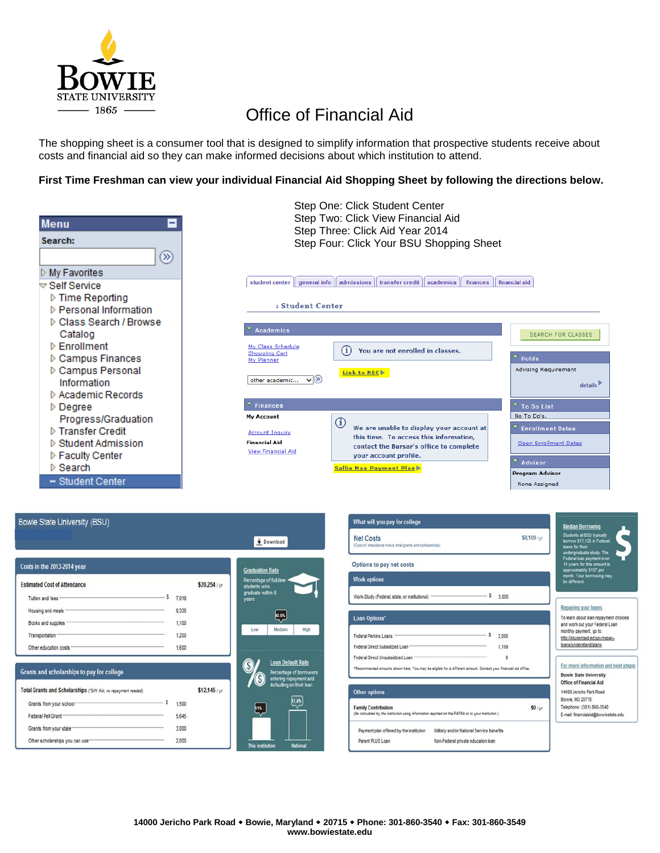

# Office of Financial Aid

The shopping sheet is a consumer tool that is designed to simplify information that prospective students receive about costs and financial aid so they can make informed decisions about which institution to attend.

### **First Time Freshman can view your individual Financial Aid Shopping Sheet by following the directions below.**



# Bowie State University (BSU)

| s<br>Tuition and fees<br>7,018<br>9,336<br>Housing and meals<br>Books and supplies .<br>1,100<br>1,200<br>Transportation <sup>®</sup> | <b>Estimated Cost of Attendance</b>        |  | \$20,254/yr |
|---------------------------------------------------------------------------------------------------------------------------------------|--------------------------------------------|--|-------------|
|                                                                                                                                       |                                            |  |             |
|                                                                                                                                       |                                            |  |             |
|                                                                                                                                       |                                            |  |             |
|                                                                                                                                       |                                            |  |             |
| Other education costs -<br>1,600                                                                                                      |                                            |  |             |
|                                                                                                                                       |                                            |  |             |
|                                                                                                                                       |                                            |  |             |
| s<br>1,500<br>Grants from your school-                                                                                                |                                            |  |             |
| Federal Pell Grant<br>5,645                                                                                                           |                                            |  | \$12,145/yr |
| Total Grants and Scholarships (Gift' Aid: no repayment needed)<br>3,000<br>Grants from your state <sup>-</sup>                        | Grants and scholarships to pay for college |  |             |



Download